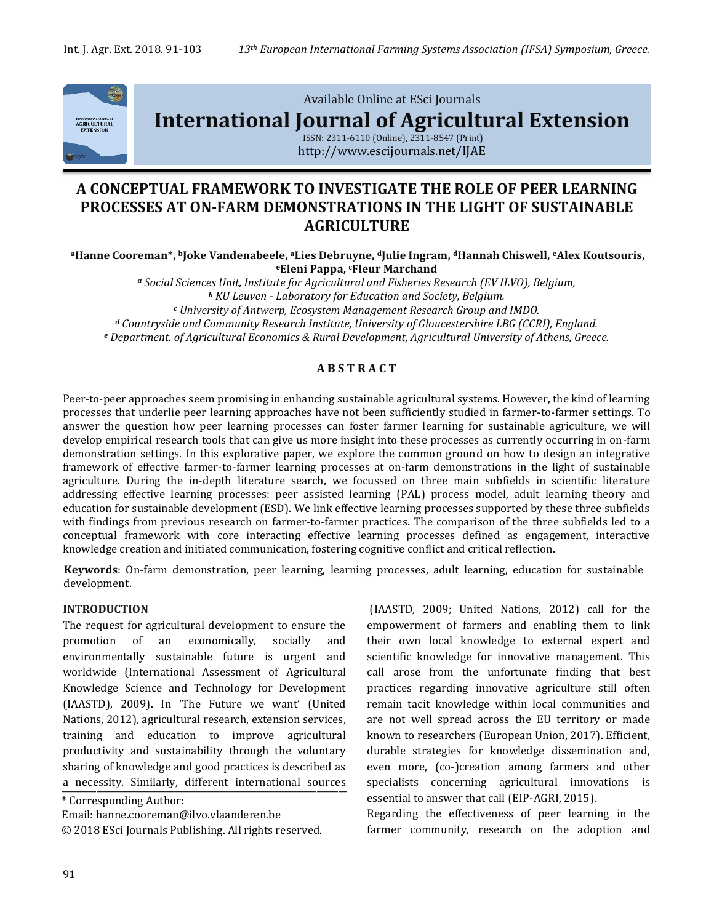

Available Online at ESci Journals

**[International Journal of Agricultural Extension](http://www.escijournals.net/IJER)**

ISSN: 2311-6110 (Online), 2311-8547 (Print) http://www.escijournals.net/IJAE

# **A CONCEPTUAL FRAMEWORK TO INVESTIGATE THE ROLE OF PEER LEARNING PROCESSES AT ON-FARM DEMONSTRATIONS IN THE LIGHT OF SUSTAINABLE AGRICULTURE**

**<sup>a</sup>Hanne Cooreman\*, <sup>b</sup>Joke Vandenabeele, <sup>a</sup>Lies Debruyne, <sup>d</sup>Julie Ingram, dHannah Chiswell, eAlex Koutsouris, <sup>e</sup>Eleni Pappa, <sup>c</sup>Fleur Marchand**

*<sup>a</sup> Social Sciences Unit, Institute for Agricultural and Fisheries Research (EV ILVO), Belgium, <sup>b</sup> KU Leuven - Laboratory for Education and Society, Belgium. <sup>c</sup> University of Antwerp, Ecosystem Management Research Group and IMDO. <sup>d</sup> Countryside and Community Research Institute, University of Gloucestershire LBG (CCRI), England. <sup>e</sup> Department. of Agricultural Economics & Rural Development, Agricultural University of Athens, Greece.*

## **A B S T R A C T**

Peer-to-peer approaches seem promising in enhancing sustainable agricultural systems. However, the kind of learning processes that underlie peer learning approaches have not been sufficiently studied in farmer-to-farmer settings. To answer the question how peer learning processes can foster farmer learning for sustainable agriculture, we will develop empirical research tools that can give us more insight into these processes as currently occurring in on-farm demonstration settings. In this explorative paper, we explore the common ground on how to design an integrative framework of effective farmer-to-farmer learning processes at on-farm demonstrations in the light of sustainable agriculture. During the in-depth literature search, we focussed on three main subfields in scientific literature addressing effective learning processes: peer assisted learning (PAL) process model, adult learning theory and education for sustainable development (ESD). We link effective learning processes supported by these three subfields with findings from previous research on farmer-to-farmer practices. The comparison of the three subfields led to a conceptual framework with core interacting effective learning processes defined as engagement, interactive knowledge creation and initiated communication, fostering cognitive conflict and critical reflection.

**Keywords**: On-farm demonstration, peer learning, learning processes, adult learning, education for sustainable development.

#### **INTRODUCTION**

The request for agricultural development to ensure the promotion of an economically, socially and environmentally sustainable future is urgent and worldwide (International Assessment of Agricultural Knowledge Science and Technology for Development (IAASTD), 2009). In 'The Future we want' (United Nations, 2012), agricultural research, extension services, training and education to improve agricultural productivity and sustainability through the voluntary sharing of knowledge and good practices is described as a necessity. Similarly, different international sources

\* Corresponding Author:

Email: hanne.cooreman@ilvo.vlaanderen.be

© 2018 ESci Journals Publishing. All rights reserved.

(IAASTD, 2009; United Nations, 2012) call for the empowerment of farmers and enabling them to link their own local knowledge to external expert and scientific knowledge for innovative management. This call arose from the unfortunate finding that best practices regarding innovative agriculture still often remain tacit knowledge within local communities and are not well spread across the EU territory or made known to researchers (European Union, 2017). Efficient, durable strategies for knowledge dissemination and, even more, (co-)creation among farmers and other specialists concerning agricultural innovations is essential to answer that call (EIP-AGRI, 2015).

Regarding the effectiveness of peer learning in the farmer community, research on the adoption and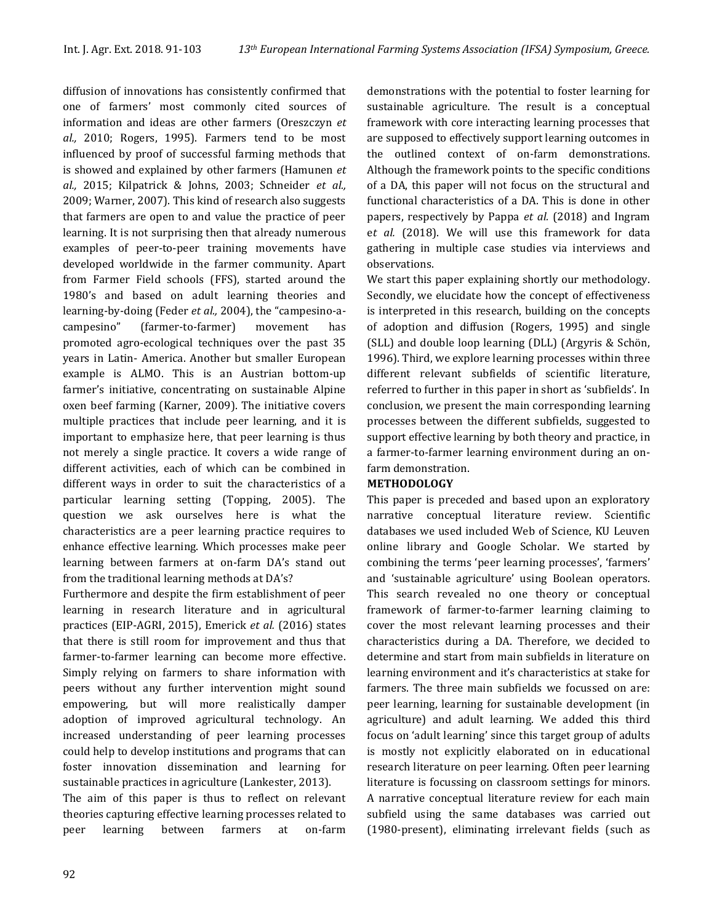diffusion of innovations has consistently confirmed that one of farmers' most commonly cited sources of information and ideas are other farmers (Oreszczyn *et al.,* 2010; Rogers, 1995). Farmers tend to be most influenced by proof of successful farming methods that is showed and explained by other farmers (Hamunen *et al.,* 2015; Kilpatrick & Johns, 2003; Schneider *et al.,* 2009; Warner, 2007). This kind of research also suggests that farmers are open to and value the practice of peer learning. It is not surprising then that already numerous examples of peer-to-peer training movements have developed worldwide in the farmer community. Apart from Farmer Field schools (FFS), started around the 1980's and based on adult learning theories and learning-by-doing (Feder *et al.,* 2004), the "campesino-acampesino" (farmer-to-farmer) movement has promoted agro-ecological techniques over the past 35 years in Latin- America. Another but smaller European example is ALMO. This is an Austrian bottom-up farmer's initiative, concentrating on sustainable Alpine oxen beef farming (Karner, 2009). The initiative covers multiple practices that include peer learning, and it is important to emphasize here, that peer learning is thus not merely a single practice. It covers a wide range of different activities, each of which can be combined in different ways in order to suit the characteristics of a particular learning setting (Topping, 2005). The question we ask ourselves here is what the characteristics are a peer learning practice requires to enhance effective learning. Which processes make peer learning between farmers at on-farm DA's stand out from the traditional learning methods at DA's?

Furthermore and despite the firm establishment of peer learning in research literature and in agricultural practices (EIP-AGRI, 2015), Emerick *et al.* (2016) states that there is still room for improvement and thus that farmer-to-farmer learning can become more effective. Simply relying on farmers to share information with peers without any further intervention might sound empowering, but will more realistically damper adoption of improved agricultural technology. An increased understanding of peer learning processes could help to develop institutions and programs that can foster innovation dissemination and learning for sustainable practices in agriculture (Lankester, 2013).

The aim of this paper is thus to reflect on relevant theories capturing effective learning processes related to peer learning between farmers at on-farm

demonstrations with the potential to foster learning for sustainable agriculture. The result is a conceptual framework with core interacting learning processes that are supposed to effectively support learning outcomes in the outlined context of on-farm demonstrations. Although the framework points to the specific conditions of a DA, this paper will not focus on the structural and functional characteristics of a DA. This is done in other papers, respectively by Pappa *et al.* (2018) and Ingram e*t al.* (2018). We will use this framework for data gathering in multiple case studies via interviews and observations.

We start this paper explaining shortly our methodology. Secondly, we elucidate how the concept of effectiveness is interpreted in this research, building on the concepts of adoption and diffusion (Rogers, 1995) and single (SLL) and double loop learning (DLL) (Argyris & Schön, 1996). Third, we explore learning processes within three different relevant subfields of scientific literature, referred to further in this paper in short as 'subfields'. In conclusion, we present the main corresponding learning processes between the different subfields, suggested to support effective learning by both theory and practice, in a farmer-to-farmer learning environment during an onfarm demonstration.

## **METHODOLOGY**

This paper is preceded and based upon an exploratory narrative conceptual literature review. Scientific databases we used included Web of Science, KU Leuven online library and Google Scholar. We started by combining the terms 'peer learning processes', 'farmers' and 'sustainable agriculture' using Boolean operators. This search revealed no one theory or conceptual framework of farmer-to-farmer learning claiming to cover the most relevant learning processes and their characteristics during a DA. Therefore, we decided to determine and start from main subfields in literature on learning environment and it's characteristics at stake for farmers. The three main subfields we focussed on are: peer learning, learning for sustainable development (in agriculture) and adult learning. We added this third focus on 'adult learning' since this target group of adults is mostly not explicitly elaborated on in educational research literature on peer learning. Often peer learning literature is focussing on classroom settings for minors. A narrative conceptual literature review for each main subfield using the same databases was carried out (1980-present), eliminating irrelevant fields (such as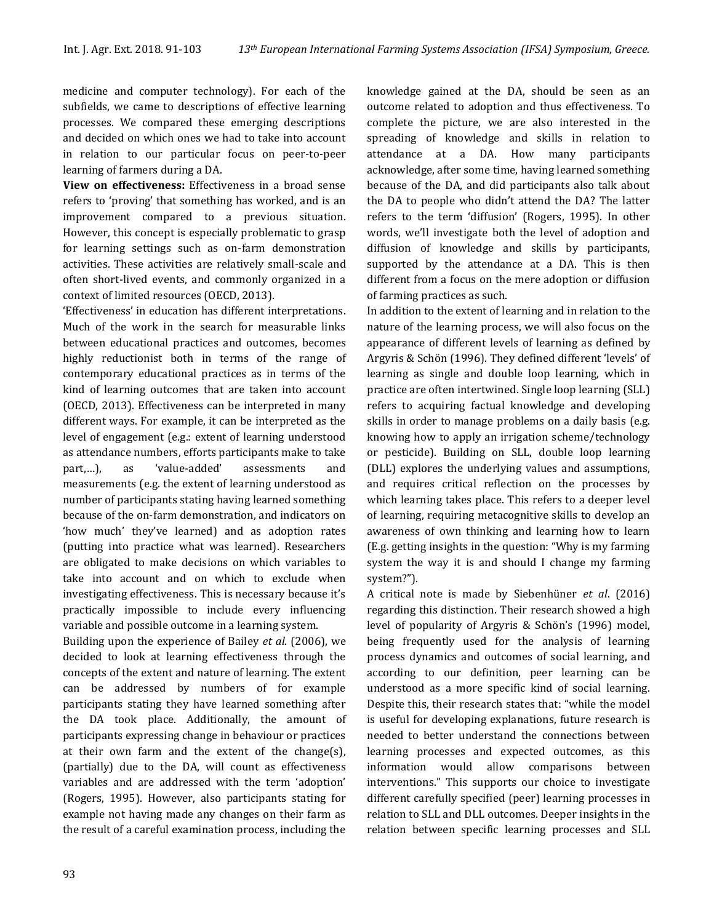medicine and computer technology). For each of the subfields, we came to descriptions of effective learning processes. We compared these emerging descriptions and decided on which ones we had to take into account in relation to our particular focus on peer-to-peer learning of farmers during a DA.

**View on effectiveness:** Effectiveness in a broad sense refers to 'proving' that something has worked, and is an improvement compared to a previous situation. However, this concept is especially problematic to grasp for learning settings such as on-farm demonstration activities. These activities are relatively small-scale and often short-lived events, and commonly organized in a context of limited resources (OECD, 2013).

'Effectiveness' in education has different interpretations. Much of the work in the search for measurable links between educational practices and outcomes, becomes highly reductionist both in terms of the range of contemporary educational practices as in terms of the kind of learning outcomes that are taken into account (OECD, 2013). Effectiveness can be interpreted in many different ways. For example, it can be interpreted as the level of engagement (e.g.: extent of learning understood as attendance numbers, efforts participants make to take part,…), as 'value-added' assessments and measurements (e.g. the extent of learning understood as number of participants stating having learned something because of the on-farm demonstration, and indicators on 'how much' they've learned) and as adoption rates (putting into practice what was learned). Researchers are obligated to make decisions on which variables to take into account and on which to exclude when investigating effectiveness. This is necessary because it's practically impossible to include every influencing variable and possible outcome in a learning system.

Building upon the experience of Bailey *et al.* (2006), we decided to look at learning effectiveness through the concepts of the extent and nature of learning. The extent can be addressed by numbers of for example participants stating they have learned something after the DA took place. Additionally, the amount of participants expressing change in behaviour or practices at their own farm and the extent of the change(s), (partially) due to the DA, will count as effectiveness variables and are addressed with the term 'adoption' (Rogers, 1995). However, also participants stating for example not having made any changes on their farm as the result of a careful examination process, including the

knowledge gained at the DA, should be seen as an outcome related to adoption and thus effectiveness. To complete the picture, we are also interested in the spreading of knowledge and skills in relation to attendance at a DA. How many participants acknowledge, after some time, having learned something because of the DA, and did participants also talk about the DA to people who didn't attend the DA? The latter refers to the term 'diffusion' (Rogers, 1995). In other words, we'll investigate both the level of adoption and diffusion of knowledge and skills by participants, supported by the attendance at a DA. This is then different from a focus on the mere adoption or diffusion of farming practices as such.

In addition to the extent of learning and in relation to the nature of the learning process, we will also focus on the appearance of different levels of learning as defined by Argyris & Schön (1996). They defined different 'levels' of learning as single and double loop learning, which in practice are often intertwined. Single loop learning (SLL) refers to acquiring factual knowledge and developing skills in order to manage problems on a daily basis (e.g. knowing how to apply an irrigation scheme/technology or pesticide). Building on SLL, double loop learning (DLL) explores the underlying values and assumptions, and requires critical reflection on the processes by which learning takes place. This refers to a deeper level of learning, requiring metacognitive skills to develop an awareness of own thinking and learning how to learn (E.g. getting insights in the question: "Why is my farming system the way it is and should I change my farming system?").

A critical note is made by Siebenhüner *et al*. (2016) regarding this distinction. Their research showed a high level of popularity of Argyris & Schön's (1996) model, being frequently used for the analysis of learning process dynamics and outcomes of social learning, and according to our definition, peer learning can be understood as a more specific kind of social learning. Despite this, their research states that: "while the model is useful for developing explanations, future research is needed to better understand the connections between learning processes and expected outcomes, as this information would allow comparisons between interventions." This supports our choice to investigate different carefully specified (peer) learning processes in relation to SLL and DLL outcomes. Deeper insights in the relation between specific learning processes and SLL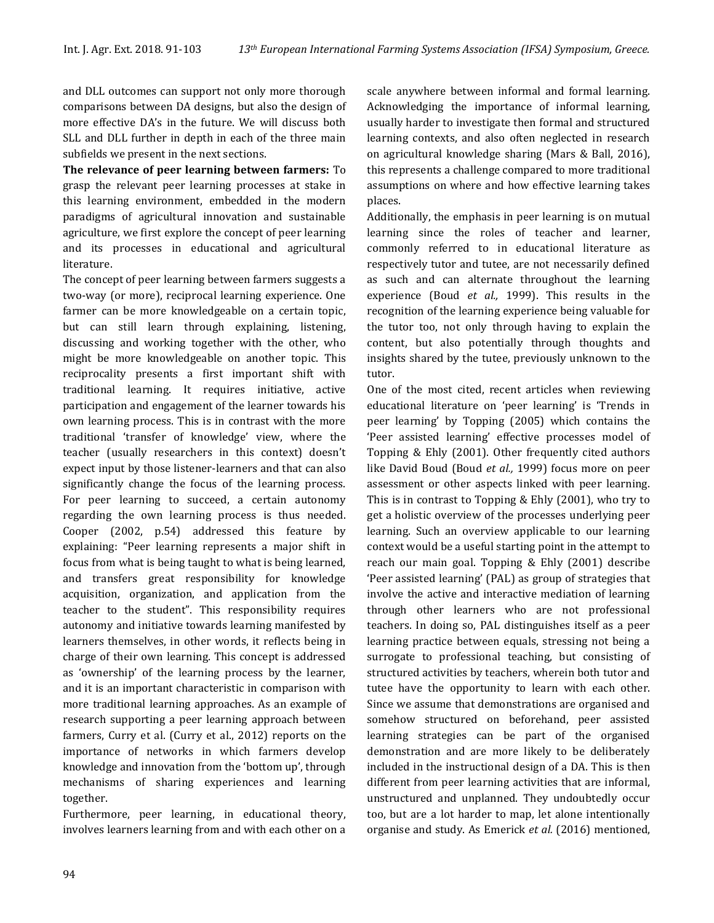and DLL outcomes can support not only more thorough comparisons between DA designs, but also the design of more effective DA's in the future. We will discuss both SLL and DLL further in depth in each of the three main subfields we present in the next sections.

**The relevance of peer learning between farmers:** To grasp the relevant peer learning processes at stake in this learning environment, embedded in the modern paradigms of agricultural innovation and sustainable agriculture, we first explore the concept of peer learning and its processes in educational and agricultural literature.

The concept of peer learning between farmers suggests a two-way (or more), reciprocal learning experience. One farmer can be more knowledgeable on a certain topic, but can still learn through explaining, listening, discussing and working together with the other, who might be more knowledgeable on another topic. This reciprocality presents a first important shift with traditional learning. It requires initiative, active participation and engagement of the learner towards his own learning process. This is in contrast with the more traditional 'transfer of knowledge' view, where the teacher (usually researchers in this context) doesn't expect input by those listener-learners and that can also significantly change the focus of the learning process. For peer learning to succeed, a certain autonomy regarding the own learning process is thus needed. Cooper (2002, p.54) addressed this feature by explaining: "Peer learning represents a major shift in focus from what is being taught to what is being learned, and transfers great responsibility for knowledge acquisition, organization, and application from the teacher to the student". This responsibility requires autonomy and initiative towards learning manifested by learners themselves, in other words, it reflects being in charge of their own learning. This concept is addressed as 'ownership' of the learning process by the learner, and it is an important characteristic in comparison with more traditional learning approaches. As an example of research supporting a peer learning approach between farmers, Curry et al. (Curry et al., 2012) reports on the importance of networks in which farmers develop knowledge and innovation from the 'bottom up', through mechanisms of sharing experiences and learning together.

Furthermore, peer learning, in educational theory, involves learners learning from and with each other on a scale anywhere between informal and formal learning. Acknowledging the importance of informal learning, usually harder to investigate then formal and structured learning contexts, and also often neglected in research on agricultural knowledge sharing (Mars & Ball, 2016), this represents a challenge compared to more traditional assumptions on where and how effective learning takes places.

Additionally, the emphasis in peer learning is on mutual learning since the roles of teacher and learner, commonly referred to in educational literature as respectively tutor and tutee, are not necessarily defined as such and can alternate throughout the learning experience (Boud *et al.,* 1999). This results in the recognition of the learning experience being valuable for the tutor too, not only through having to explain the content, but also potentially through thoughts and insights shared by the tutee, previously unknown to the tutor.

One of the most cited, recent articles when reviewing educational literature on 'peer learning' is 'Trends in peer learning' by Topping (2005) which contains the 'Peer assisted learning' effective processes model of Topping & Ehly (2001). Other frequently cited authors like David Boud (Boud *et al.,* 1999) focus more on peer assessment or other aspects linked with peer learning. This is in contrast to Topping & Ehly (2001), who try to get a holistic overview of the processes underlying peer learning. Such an overview applicable to our learning context would be a useful starting point in the attempt to reach our main goal. Topping & Ehly (2001) describe 'Peer assisted learning' (PAL) as group of strategies that involve the active and interactive mediation of learning through other learners who are not professional teachers. In doing so, PAL distinguishes itself as a peer learning practice between equals, stressing not being a surrogate to professional teaching, but consisting of structured activities by teachers, wherein both tutor and tutee have the opportunity to learn with each other. Since we assume that demonstrations are organised and somehow structured on beforehand, peer assisted learning strategies can be part of the organised demonstration and are more likely to be deliberately included in the instructional design of a DA. This is then different from peer learning activities that are informal, unstructured and unplanned. They undoubtedly occur too, but are a lot harder to map, let alone intentionally organise and study. As Emerick *et al.* (2016) mentioned,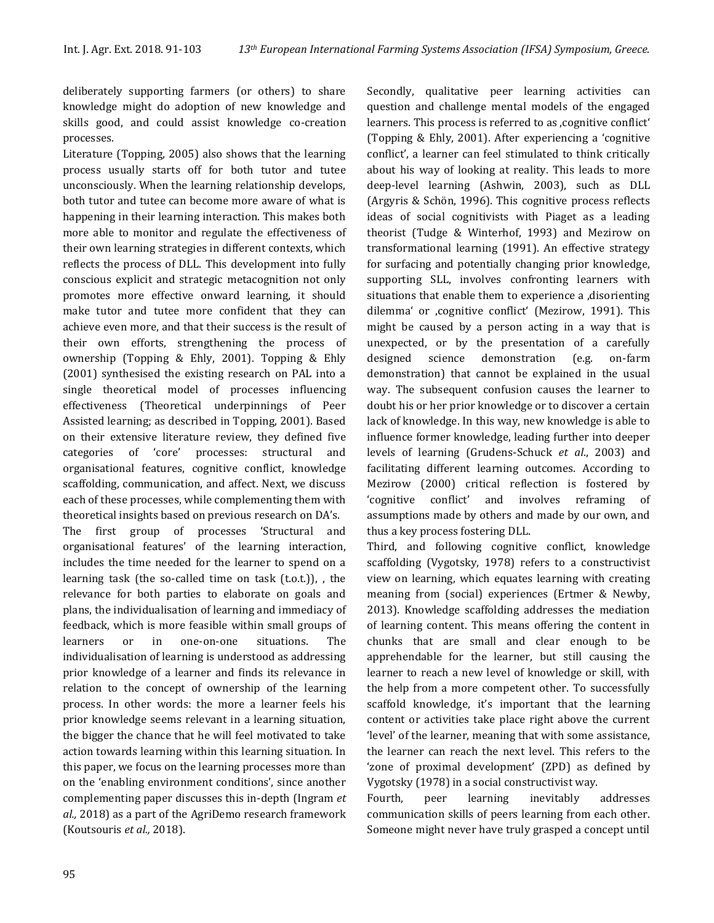deliberately supporting farmers (or others) to share knowledge might do adoption of new knowledge and skills good, and could assist knowledge co-creation processes.

Literature (Topping, 2005) also shows that the learning process usually starts off for both tutor and tutee unconsciously. When the learning relationship develops, both tutor and tutee can become more aware of what is happening in their learning interaction. This makes both more able to monitor and regulate the effectiveness of their own learning strategies in different contexts, which reflects the process of DLL. This development into fully conscious explicit and strategic metacognition not only promotes more effective onward learning, it should make tutor and tutee more confident that they can achieve even more, and that their success is the result of their own efforts, strengthening the process of ownership (Topping & Ehly, 2001). Topping & Ehly (2001) synthesised the existing research on PAL into a single theoretical model of processes influencing effectiveness (Theoretical underpinnings of Peer Assisted learning; as described in Topping, 2001). Based on their extensive literature review, they defined five categories of 'core' processes: structural and organisational features, cognitive conflict, knowledge scaffolding, communication, and affect. Next, we discuss each of these processes, while complementing them with theoretical insights based on previous research on DA's.

The first group of processes 'Structural and organisational features' of the learning interaction, includes the time needed for the learner to spend on a learning task (the so-called time on task (t.o.t.)), , the relevance for both parties to elaborate on goals and plans, the individualisation of learning and immediacy of feedback, which is more feasible within small groups of learners or in one-on-one situations. The individualisation of learning is understood as addressing prior knowledge of a learner and finds its relevance in relation to the concept of ownership of the learning process. In other words: the more a learner feels his prior knowledge seems relevant in a learning situation, the bigger the chance that he will feel motivated to take action towards learning within this learning situation. In this paper, we focus on the learning processes more than on the 'enabling environment conditions', since another complementing paper discusses this in-depth (Ingram *et al.,* 2018) as a part of the AgriDemo research framework (Koutsouris *et al.,* 2018).

Secondly, qualitative peer learning activities can question and challenge mental models of the engaged learners. This process is referred to as , cognitive conflict' (Topping & Ehly, 2001). After experiencing a 'cognitive conflict', a learner can feel stimulated to think critically about his way of looking at reality. This leads to more deep-level learning (Ashwin, 2003), such as DLL (Argyris & Schön, 1996). This cognitive process reflects ideas of social cognitivists with Piaget as a leading theorist (Tudge & Winterhof, 1993) and Mezirow on transformational learning (1991). An effective strategy for surfacing and potentially changing prior knowledge, supporting SLL, involves confronting learners with situations that enable them to experience a , disorienting dilemma' or 'cognitive conflict' (Mezirow, 1991). This might be caused by a person acting in a way that is unexpected, or by the presentation of a carefully designed science demonstration (e.g. on-farm demonstration) that cannot be explained in the usual way. The subsequent confusion causes the learner to doubt his or her prior knowledge or to discover a certain lack of knowledge. In this way, new knowledge is able to influence former knowledge, leading further into deeper levels of learning (Grudens-Schuck *et al*., 2003) and facilitating different learning outcomes. According to Mezirow (2000) critical reflection is fostered by 'cognitive conflict' and involves reframing of assumptions made by others and made by our own, and thus a key process fostering DLL.

Third, and following cognitive conflict, knowledge scaffolding (Vygotsky, 1978) refers to a constructivist view on learning, which equates learning with creating meaning from (social) experiences (Ertmer & Newby, 2013). Knowledge scaffolding addresses the mediation of learning content. This means offering the content in chunks that are small and clear enough to be apprehendable for the learner, but still causing the learner to reach a new level of knowledge or skill, with the help from a more competent other. To successfully scaffold knowledge, it's important that the learning content or activities take place right above the current 'level' of the learner, meaning that with some assistance, the learner can reach the next level. This refers to the 'zone of proximal development' (ZPD) as defined by Vygotsky (1978) in a social constructivist way.

Fourth, peer learning inevitably addresses communication skills of peers learning from each other. Someone might never have truly grasped a concept until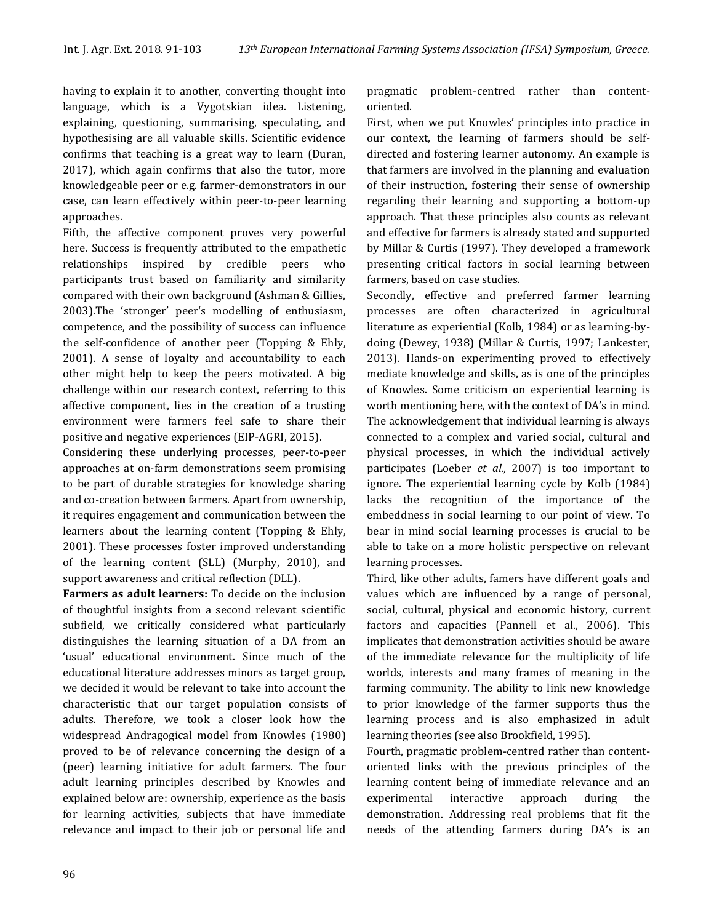having to explain it to another, converting thought into language, which is a Vygotskian idea. Listening, explaining, questioning, summarising, speculating, and hypothesising are all valuable skills. Scientific evidence confirms that teaching is a great way to learn (Duran, 2017), which again confirms that also the tutor, more knowledgeable peer or e.g. farmer-demonstrators in our case, can learn effectively within peer-to-peer learning approaches.

Fifth, the affective component proves very powerful here. Success is frequently attributed to the empathetic relationships inspired by credible peers who participants trust based on familiarity and similarity compared with their own background (Ashman & Gillies, 2003).The 'stronger' peer's modelling of enthusiasm, competence, and the possibility of success can influence the self-confidence of another peer (Topping & Ehly, 2001). A sense of loyalty and accountability to each other might help to keep the peers motivated. A big challenge within our research context, referring to this affective component, lies in the creation of a trusting environment were farmers feel safe to share their positive and negative experiences (EIP-AGRI, 2015).

Considering these underlying processes, peer-to-peer approaches at on-farm demonstrations seem promising to be part of durable strategies for knowledge sharing and co-creation between farmers. Apart from ownership, it requires engagement and communication between the learners about the learning content (Topping & Ehly, 2001). These processes foster improved understanding of the learning content (SLL) (Murphy, 2010), and support awareness and critical reflection (DLL).

**Farmers as adult learners:** To decide on the inclusion of thoughtful insights from a second relevant scientific subfield, we critically considered what particularly distinguishes the learning situation of a DA from an 'usual' educational environment. Since much of the educational literature addresses minors as target group, we decided it would be relevant to take into account the characteristic that our target population consists of adults. Therefore, we took a closer look how the widespread Andragogical model from Knowles (1980) proved to be of relevance concerning the design of a (peer) learning initiative for adult farmers. The four adult learning principles described by Knowles and explained below are: ownership, experience as the basis for learning activities, subjects that have immediate relevance and impact to their job or personal life and pragmatic problem-centred rather than contentoriented.

First, when we put Knowles' principles into practice in our context, the learning of farmers should be selfdirected and fostering learner autonomy. An example is that farmers are involved in the planning and evaluation of their instruction, fostering their sense of ownership regarding their learning and supporting a bottom-up approach. That these principles also counts as relevant and effective for farmers is already stated and supported by Millar & Curtis (1997). They developed a framework presenting critical factors in social learning between farmers, based on case studies.

Secondly, effective and preferred farmer learning processes are often characterized in agricultural literature as experiential (Kolb, 1984) or as learning-bydoing (Dewey, 1938) (Millar & Curtis, 1997; Lankester, 2013). Hands-on experimenting proved to effectively mediate knowledge and skills, as is one of the principles of Knowles. Some criticism on experiential learning is worth mentioning here, with the context of DA's in mind. The acknowledgement that individual learning is always connected to a complex and varied social, cultural and physical processes, in which the individual actively participates (Loeber *et al.,* 2007) is too important to ignore. The experiential learning cycle by Kolb (1984) lacks the recognition of the importance of the embeddness in social learning to our point of view. To bear in mind social learning processes is crucial to be able to take on a more holistic perspective on relevant learning processes.

Third, like other adults, famers have different goals and values which are influenced by a range of personal, social, cultural, physical and economic history, current factors and capacities (Pannell et al., 2006). This implicates that demonstration activities should be aware of the immediate relevance for the multiplicity of life worlds, interests and many frames of meaning in the farming community. The ability to link new knowledge to prior knowledge of the farmer supports thus the learning process and is also emphasized in adult learning theories (see also Brookfield, 1995).

Fourth, pragmatic problem-centred rather than contentoriented links with the previous principles of the learning content being of immediate relevance and an experimental interactive approach during the demonstration. Addressing real problems that fit the needs of the attending farmers during DA's is an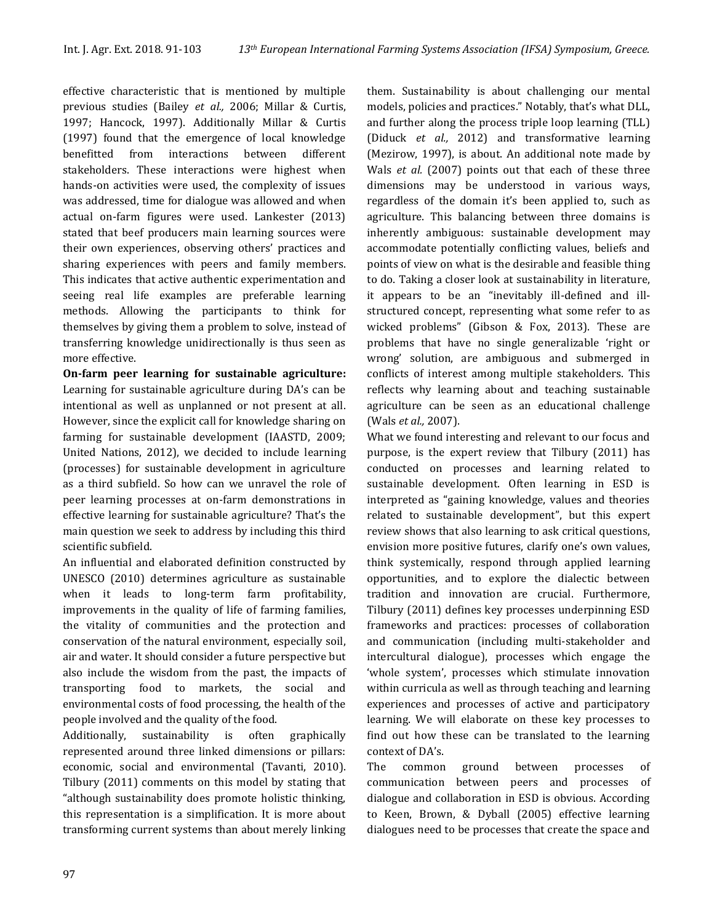effective characteristic that is mentioned by multiple previous studies (Bailey *et al.,* 2006; Millar & Curtis, 1997; Hancock, 1997). Additionally Millar & Curtis (1997) found that the emergence of local knowledge benefitted from interactions between different stakeholders. These interactions were highest when hands-on activities were used, the complexity of issues was addressed, time for dialogue was allowed and when actual on-farm figures were used. Lankester (2013) stated that beef producers main learning sources were their own experiences, observing others' practices and sharing experiences with peers and family members. This indicates that active authentic experimentation and seeing real life examples are preferable learning methods. Allowing the participants to think for themselves by giving them a problem to solve, instead of transferring knowledge unidirectionally is thus seen as more effective.

**On-farm peer learning for sustainable agriculture:** Learning for sustainable agriculture during DA's can be intentional as well as unplanned or not present at all. However, since the explicit call for knowledge sharing on farming for sustainable development (IAASTD, 2009; United Nations, 2012), we decided to include learning (processes) for sustainable development in agriculture as a third subfield. So how can we unravel the role of peer learning processes at on-farm demonstrations in effective learning for sustainable agriculture? That's the main question we seek to address by including this third scientific subfield.

An influential and elaborated definition constructed by UNESCO (2010) determines agriculture as sustainable when it leads to long-term farm profitability, improvements in the quality of life of farming families, the vitality of communities and the protection and conservation of the natural environment, especially soil, air and water. It should consider a future perspective but also include the wisdom from the past, the impacts of transporting food to markets, the social and environmental costs of food processing, the health of the people involved and the quality of the food.

Additionally, sustainability is often graphically represented around three linked dimensions or pillars: economic, social and environmental (Tavanti, 2010). Tilbury (2011) comments on this model by stating that "although sustainability does promote holistic thinking, this representation is a simplification. It is more about transforming current systems than about merely linking them. Sustainability is about challenging our mental models, policies and practices." Notably, that's what DLL, and further along the process triple loop learning (TLL) (Diduck *et al.,* 2012) and transformative learning (Mezirow, 1997), is about. An additional note made by Wals *et al.* (2007) points out that each of these three dimensions may be understood in various ways, regardless of the domain it's been applied to, such as agriculture. This balancing between three domains is inherently ambiguous: sustainable development may accommodate potentially conflicting values, beliefs and points of view on what is the desirable and feasible thing to do. Taking a closer look at sustainability in literature, it appears to be an "inevitably ill-defined and illstructured concept, representing what some refer to as wicked problems" (Gibson & Fox, 2013). These are problems that have no single generalizable 'right or wrong' solution, are ambiguous and submerged in conflicts of interest among multiple stakeholders. This reflects why learning about and teaching sustainable agriculture can be seen as an educational challenge (Wals *et al.,* 2007).

What we found interesting and relevant to our focus and purpose, is the expert review that Tilbury (2011) has conducted on processes and learning related to sustainable development. Often learning in ESD is interpreted as "gaining knowledge, values and theories related to sustainable development", but this expert review shows that also learning to ask critical questions, envision more positive futures, clarify one's own values, think systemically, respond through applied learning opportunities, and to explore the dialectic between tradition and innovation are crucial. Furthermore, Tilbury (2011) defines key processes underpinning ESD frameworks and practices: processes of collaboration and communication (including multi-stakeholder and intercultural dialogue), processes which engage the 'whole system', processes which stimulate innovation within curricula as well as through teaching and learning experiences and processes of active and participatory learning. We will elaborate on these key processes to find out how these can be translated to the learning context of DA's.

The common ground between processes of communication between peers and processes of dialogue and collaboration in ESD is obvious. According to Keen, Brown, & Dyball (2005) effective learning dialogues need to be processes that create the space and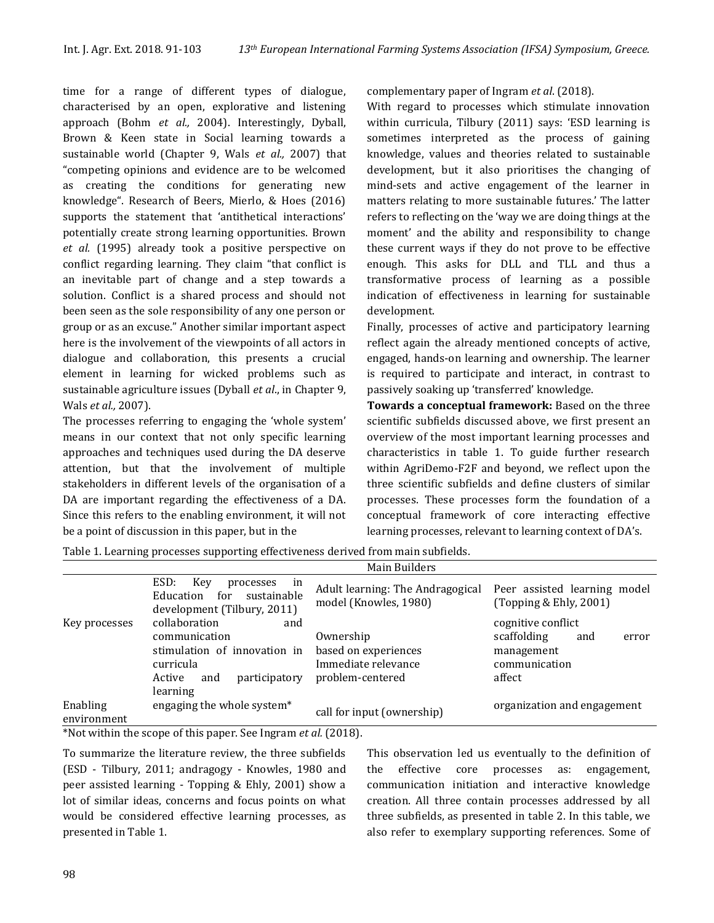time for a range of different types of dialogue, characterised by an open, explorative and listening approach (Bohm *et al.,* 2004). Interestingly, Dyball, Brown & Keen state in Social learning towards a sustainable world (Chapter 9, Wals *et al.,* 2007) that "competing opinions and evidence are to be welcomed as creating the conditions for generating new knowledge". Research of Beers, Mierlo, & Hoes (2016) supports the statement that 'antithetical interactions' potentially create strong learning opportunities. Brown *et al.* (1995) already took a positive perspective on conflict regarding learning. They claim "that conflict is an inevitable part of change and a step towards a solution. Conflict is a shared process and should not been seen as the sole responsibility of any one person or group or as an excuse." Another similar important aspect here is the involvement of the viewpoints of all actors in dialogue and collaboration, this presents a crucial element in learning for wicked problems such as sustainable agriculture issues (Dyball *et al*., in Chapter 9, Wals *et al.,* 2007).

The processes referring to engaging the 'whole system' means in our context that not only specific learning approaches and techniques used during the DA deserve attention, but that the involvement of multiple stakeholders in different levels of the organisation of a DA are important regarding the effectiveness of a DA. Since this refers to the enabling environment, it will not be a point of discussion in this paper, but in the

complementary paper of Ingram *et al*. (2018).

With regard to processes which stimulate innovation within curricula, Tilbury (2011) says: 'ESD learning is sometimes interpreted as the process of gaining knowledge, values and theories related to sustainable development, but it also prioritises the changing of mind-sets and active engagement of the learner in matters relating to more sustainable futures.' The latter refers to reflecting on the 'way we are doing things at the moment' and the ability and responsibility to change these current ways if they do not prove to be effective enough. This asks for DLL and TLL and thus a transformative process of learning as a possible indication of effectiveness in learning for sustainable development.

Finally, processes of active and participatory learning reflect again the already mentioned concepts of active, engaged, hands-on learning and ownership. The learner is required to participate and interact, in contrast to passively soaking up 'transferred' knowledge.

**Towards a conceptual framework:** Based on the three scientific subfields discussed above, we first present an overview of the most important learning processes and characteristics in table 1. To guide further research within AgriDemo-F2F and beyond, we reflect upon the three scientific subfields and define clusters of similar processes. These processes form the foundation of a conceptual framework of core interacting effective learning processes, relevant to learning context of DA's.

| Table 1. Learning processes supporting effectiveness derived from main subfields. |  |
|-----------------------------------------------------------------------------------|--|
|-----------------------------------------------------------------------------------|--|

|                         |                                                                                                  | Main Builders                                                   |                                                          |
|-------------------------|--------------------------------------------------------------------------------------------------|-----------------------------------------------------------------|----------------------------------------------------------|
|                         | ESD:<br>Key<br>processes<br>in<br>for<br>Education<br>sustainable<br>development (Tilbury, 2011) | Adult learning: The Andragogical<br>model (Knowles, 1980)       | Peer assisted learning model<br>(Topping $&$ Ehly, 2001) |
| Key processes           | collaboration<br>and                                                                             |                                                                 | cognitive conflict                                       |
|                         | communication                                                                                    | Ownership                                                       | scaffolding<br>and<br>error                              |
|                         | stimulation of innovation in<br>curricula<br>Active<br>participatory<br>and<br>learning          | based on experiences<br>Immediate relevance<br>problem-centered | management<br>communication<br>affect                    |
| Enabling<br>environment | engaging the whole system*                                                                       | call for input (ownership)                                      | organization and engagement                              |

\*Not within the scope of this paper. See Ingram *et al.* (2018).

To summarize the literature review, the three subfields (ESD - Tilbury, 2011; andragogy - Knowles, 1980 and peer assisted learning - Topping & Ehly, 2001) show a lot of similar ideas, concerns and focus points on what would be considered effective learning processes, as presented in Table 1.

This observation led us eventually to the definition of the effective core processes as: engagement, communication initiation and interactive knowledge creation. All three contain processes addressed by all three subfields, as presented in table 2. In this table, we also refer to exemplary supporting references. Some of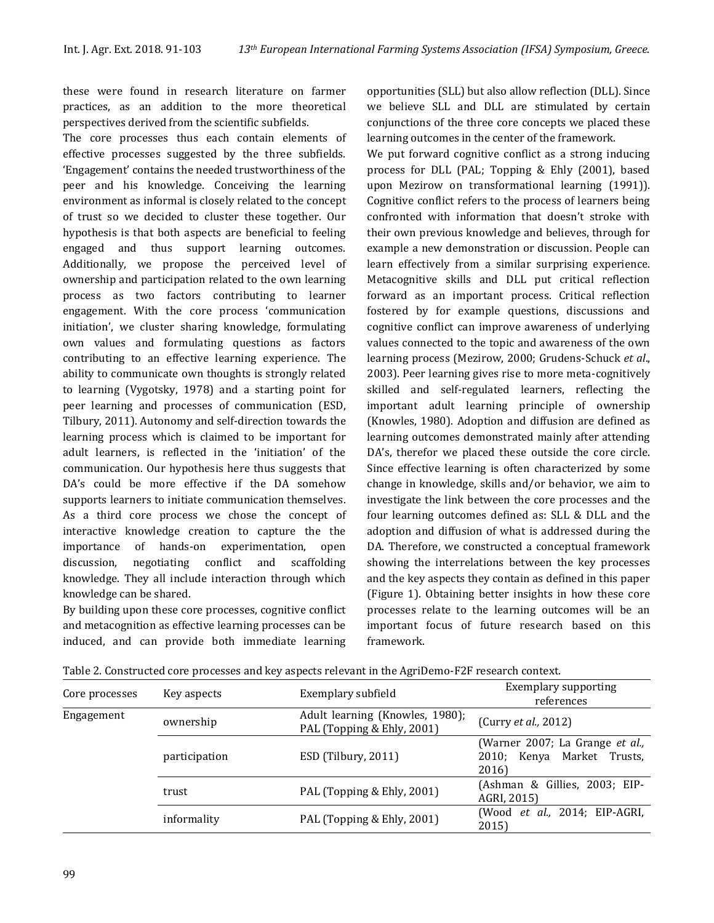these were found in research literature on farmer practices, as an addition to the more theoretical perspectives derived from the scientific subfields.

The core processes thus each contain elements of effective processes suggested by the three subfields. 'Engagement' contains the needed trustworthiness of the peer and his knowledge. Conceiving the learning environment as informal is closely related to the concept of trust so we decided to cluster these together. Our hypothesis is that both aspects are beneficial to feeling engaged and thus support learning outcomes. Additionally, we propose the perceived level of ownership and participation related to the own learning process as two factors contributing to learner engagement. With the core process 'communication initiation', we cluster sharing knowledge, formulating own values and formulating questions as factors contributing to an effective learning experience. The ability to communicate own thoughts is strongly related to learning (Vygotsky, 1978) and a starting point for peer learning and processes of communication (ESD, Tilbury, 2011). Autonomy and self-direction towards the learning process which is claimed to be important for adult learners, is reflected in the 'initiation' of the communication. Our hypothesis here thus suggests that DA's could be more effective if the DA somehow supports learners to initiate communication themselves. As a third core process we chose the concept of interactive knowledge creation to capture the the importance of hands-on experimentation, open discussion, negotiating conflict and scaffolding knowledge. They all include interaction through which knowledge can be shared.

By building upon these core processes, cognitive conflict and metacognition as effective learning processes can be induced, and can provide both immediate learning opportunities (SLL) but also allow reflection (DLL). Since we believe SLL and DLL are stimulated by certain conjunctions of the three core concepts we placed these learning outcomes in the center of the framework.

We put forward cognitive conflict as a strong inducing process for DLL (PAL; Topping & Ehly (2001), based upon Mezirow on transformational learning (1991)). Cognitive conflict refers to the process of learners being confronted with information that doesn't stroke with their own previous knowledge and believes, through for example a new demonstration or discussion. People can learn effectively from a similar surprising experience. Metacognitive skills and DLL put critical reflection forward as an important process. Critical reflection fostered by for example questions, discussions and cognitive conflict can improve awareness of underlying values connected to the topic and awareness of the own learning process (Mezirow, 2000; Grudens-Schuck *et al*., 2003). Peer learning gives rise to more meta-cognitively skilled and self-regulated learners, reflecting the important adult learning principle of ownership (Knowles, 1980). Adoption and diffusion are defined as learning outcomes demonstrated mainly after attending DA's, therefor we placed these outside the core circle. Since effective learning is often characterized by some change in knowledge, skills and/or behavior, we aim to investigate the link between the core processes and the four learning outcomes defined as: SLL & DLL and the adoption and diffusion of what is addressed during the DA. Therefore, we constructed a conceptual framework showing the interrelations between the key processes and the key aspects they contain as defined in this paper (Figure 1). Obtaining better insights in how these core processes relate to the learning outcomes will be an important focus of future research based on this framework.

| Core processes | Key aspects   | Exemplary subfield                                            | <b>Exemplary supporting</b><br>references                              |
|----------------|---------------|---------------------------------------------------------------|------------------------------------------------------------------------|
| Engagement     | ownership     | Adult learning (Knowles, 1980);<br>PAL (Topping & Ehly, 2001) | (Curry et al., 2012)                                                   |
|                | participation | ESD (Tilbury, 2011)                                           | (Warner 2007; La Grange et al.,<br>2010; Kenya Market Trusts,<br>2016) |
|                | trust         | PAL (Topping & Ehly, 2001)                                    | (Ashman & Gillies, 2003; EIP-<br>AGRI, 2015)                           |
|                | informality   | PAL (Topping & Ehly, 2001)                                    | (Wood et al., 2014; EIP-AGRI,<br>2015)                                 |

Table 2. Constructed core processes and key aspects relevant in the AgriDemo-F2F research context.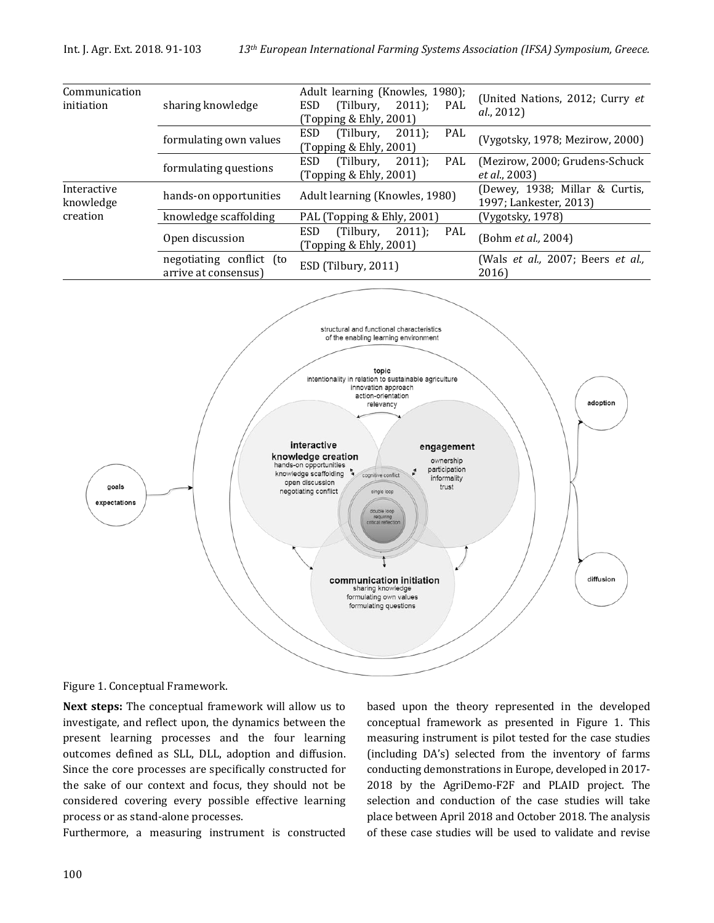

Figure 1. Conceptual Framework.

**Next steps:** The conceptual framework will allow us to investigate, and reflect upon, the dynamics between the present learning processes and the four learning outcomes defined as SLL, DLL, adoption and diffusion. Since the core processes are specifically constructed for the sake of our context and focus, they should not be considered covering every possible effective learning process or as stand-alone processes.

Furthermore, a measuring instrument is constructed

based upon the theory represented in the developed conceptual framework as presented in Figure 1. This measuring instrument is pilot tested for the case studies (including DA's) selected from the inventory of farms conducting demonstrations in Europe, developed in 2017- 2018 by the AgriDemo-F2F and PLAID project. The selection and conduction of the case studies will take place between April 2018 and October 2018. The analysis of these case studies will be used to validate and revise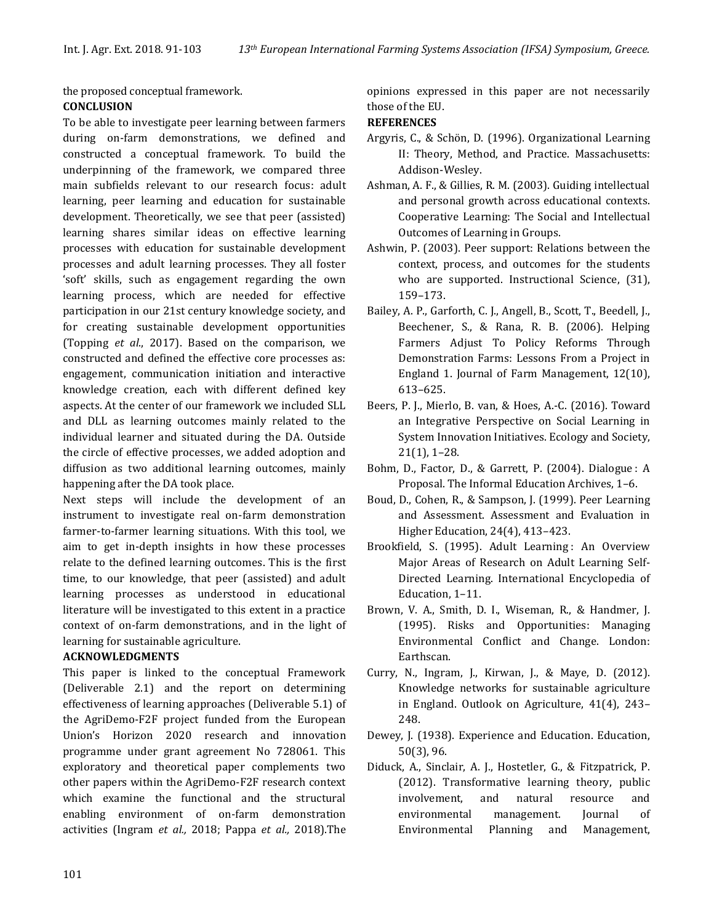the proposed conceptual framework.

#### **CONCLUSION**

To be able to investigate peer learning between farmers during on-farm demonstrations, we defined and constructed a conceptual framework. To build the underpinning of the framework, we compared three main subfields relevant to our research focus: adult learning, peer learning and education for sustainable development. Theoretically, we see that peer (assisted) learning shares similar ideas on effective learning processes with education for sustainable development processes and adult learning processes. They all foster 'soft' skills, such as engagement regarding the own learning process, which are needed for effective participation in our 21st century knowledge society, and for creating sustainable development opportunities (Topping *et al*., 2017). Based on the comparison, we constructed and defined the effective core processes as: engagement, communication initiation and interactive knowledge creation, each with different defined key aspects. At the center of our framework we included SLL and DLL as learning outcomes mainly related to the individual learner and situated during the DA. Outside the circle of effective processes, we added adoption and diffusion as two additional learning outcomes, mainly happening after the DA took place.

Next steps will include the development of an instrument to investigate real on-farm demonstration farmer-to-farmer learning situations. With this tool, we aim to get in-depth insights in how these processes relate to the defined learning outcomes. This is the first time, to our knowledge, that peer (assisted) and adult learning processes as understood in educational literature will be investigated to this extent in a practice context of on-farm demonstrations, and in the light of learning for sustainable agriculture.

## **ACKNOWLEDGMENTS**

This paper is linked to the conceptual Framework (Deliverable 2.1) and the report on determining effectiveness of learning approaches (Deliverable 5.1) of the AgriDemo-F2F project funded from the European Union's Horizon 2020 research and innovation programme under grant agreement No 728061. This exploratory and theoretical paper complements two other papers within the AgriDemo-F2F research context which examine the functional and the structural enabling environment of on-farm demonstration activities (Ingram *et al.,* 2018; Pappa *et al.,* 2018).The

opinions expressed in this paper are not necessarily those of the EU.

## **REFERENCES**

- Argyris, C., & Schön, D. (1996). Organizational Learning II: Theory, Method, and Practice. Massachusetts: Addison-Wesley.
- Ashman, A. F., & Gillies, R. M. (2003). Guiding intellectual and personal growth across educational contexts. Cooperative Learning: The Social and Intellectual Outcomes of Learning in Groups.
- Ashwin, P. (2003). Peer support: Relations between the context, process, and outcomes for the students who are supported. Instructional Science, (31), 159–173.
- Bailey, A. P., Garforth, C. J., Angell, B., Scott, T., Beedell, J., Beechener, S., & Rana, R. B. (2006). Helping Farmers Adjust To Policy Reforms Through Demonstration Farms: Lessons From a Project in England 1. Journal of Farm Management, 12(10), 613–625.
- Beers, P. J., Mierlo, B. van, & Hoes, A.-C. (2016). Toward an Integrative Perspective on Social Learning in System Innovation Initiatives. Ecology and Society, 21(1), 1–28.
- Bohm, D., Factor, D., & Garrett, P. (2004). Dialogue: A Proposal. The Informal Education Archives, 1–6.
- Boud, D., Cohen, R., & Sampson, J. (1999). Peer Learning and Assessment. Assessment and Evaluation in Higher Education, 24(4), 413–423.
- Brookfield, S. (1995). Adult Learning: An Overview Major Areas of Research on Adult Learning Self-Directed Learning. International Encyclopedia of Education, 1–11.
- Brown, V. A., Smith, D. I., Wiseman, R., & Handmer, J. (1995). Risks and Opportunities: Managing Environmental Conflict and Change. London: Earthscan.
- Curry, N., Ingram, J., Kirwan, J., & Maye, D. (2012). Knowledge networks for sustainable agriculture in England. Outlook on Agriculture, 41(4), 243– 248.
- Dewey, J. (1938). Experience and Education. Education, 50(3), 96.
- Diduck, A., Sinclair, A. J., Hostetler, G., & Fitzpatrick, P. (2012). Transformative learning theory, public involvement, and natural resource and environmental management. Journal of Environmental Planning and Management,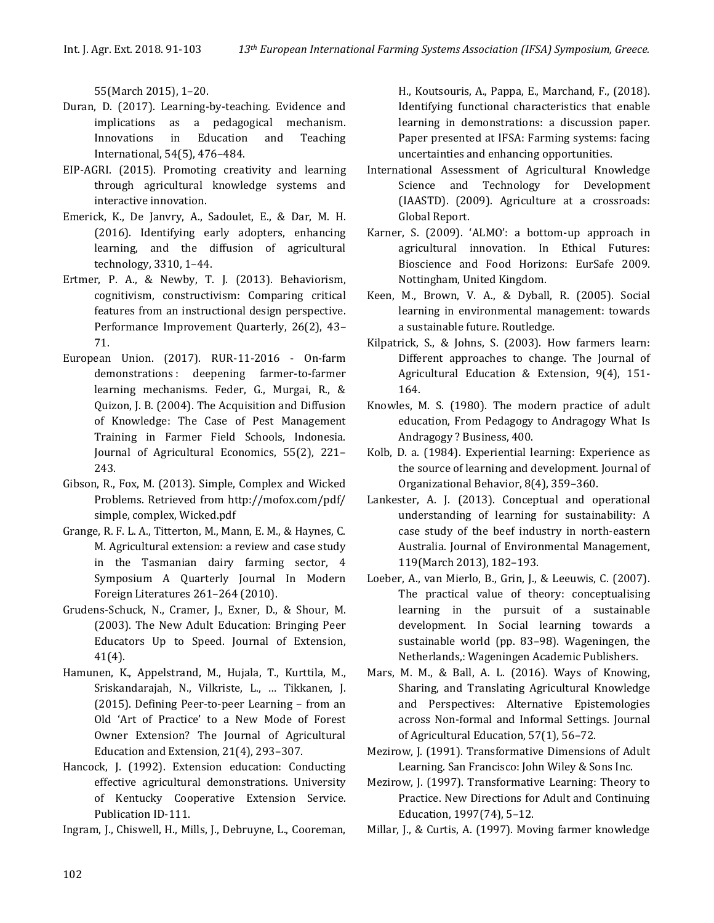55(March 2015), 1–20.

- Duran, D. (2017). Learning-by-teaching. Evidence and implications as a pedagogical mechanism. Innovations in Education and Teaching International, 54(5), 476–484.
- EIP-AGRI. (2015). Promoting creativity and learning through agricultural knowledge systems and interactive innovation.
- Emerick, K., De Janvry, A., Sadoulet, E., & Dar, M. H. (2016). Identifying early adopters, enhancing learning, and the diffusion of agricultural technology, 3310, 1–44.
- Ertmer, P. A., & Newby, T. J. (2013). Behaviorism, cognitivism, constructivism: Comparing critical features from an instructional design perspective. Performance Improvement Quarterly, 26(2), 43– 71.
- European Union. (2017). RUR-11-2016 On-farm demonstrations : deepening farmer-to-farmer learning mechanisms. Feder, G., Murgai, R., & Quizon, J. B. (2004). The Acquisition and Diffusion of Knowledge: The Case of Pest Management Training in Farmer Field Schools, Indonesia. Journal of Agricultural Economics, 55(2), 221– 243.
- Gibson, R., Fox, M. (2013). Simple, Complex and Wicked Problems. Retrieved from http://mofox.com/pdf/ simple, complex, Wicked.pdf
- Grange, R. F. L. A., Titterton, M., Mann, E. M., & Haynes, C. M. Agricultural extension: a review and case study in the Tasmanian dairy farming sector, 4 Symposium A Quarterly Journal In Modern Foreign Literatures 261–264 (2010).
- Grudens-Schuck, N., Cramer, J., Exner, D., & Shour, M. (2003). The New Adult Education: Bringing Peer Educators Up to Speed. Journal of Extension, 41(4).
- Hamunen, K., Appelstrand, M., Hujala, T., Kurttila, M., Sriskandarajah, N., Vilkriste, L., … Tikkanen, J. (2015). Defining Peer-to-peer Learning – from an Old 'Art of Practice' to a New Mode of Forest Owner Extension? The Journal of Agricultural Education and Extension, 21(4), 293–307.
- Hancock, J. (1992). Extension education: Conducting effective agricultural demonstrations. University of Kentucky Cooperative Extension Service. Publication ID-111.

Ingram, J., Chiswell, H., Mills, J., Debruyne, L., Cooreman,

H., Koutsouris, A., Pappa, E., Marchand, F., (2018). Identifying functional characteristics that enable learning in demonstrations: a discussion paper. Paper presented at IFSA: Farming systems: facing uncertainties and enhancing opportunities.

- International Assessment of Agricultural Knowledge Science and Technology for Development (IAASTD). (2009). Agriculture at a crossroads: Global Report.
- Karner, S. (2009). 'ALMO': a bottom-up approach in agricultural innovation. In Ethical Futures: Bioscience and Food Horizons: EurSafe 2009. Nottingham, United Kingdom.
- Keen, M., Brown, V. A., & Dyball, R. (2005). Social learning in environmental management: towards a sustainable future. Routledge.
- Kilpatrick, S., & Johns, S. (2003). How farmers learn: Different approaches to change. The Journal of Agricultural Education & Extension, 9(4), 151- 164.
- Knowles, M. S. (1980). The modern practice of adult education, From Pedagogy to Andragogy What Is Andragogy ? Business, 400.
- Kolb, D. a. (1984). Experiential learning: Experience as the source of learning and development. Journal of Organizational Behavior, 8(4), 359–360.
- Lankester, A. J. (2013). Conceptual and operational understanding of learning for sustainability: A case study of the beef industry in north-eastern Australia. Journal of Environmental Management, 119(March 2013), 182–193.
- Loeber, A., van Mierlo, B., Grin, J., & Leeuwis, C. (2007). The practical value of theory: conceptualising learning in the pursuit of a sustainable development. In Social learning towards a sustainable world (pp. 83–98). Wageningen, the Netherlands,: Wageningen Academic Publishers.
- Mars, M. M., & Ball, A. L. (2016). Ways of Knowing, Sharing, and Translating Agricultural Knowledge and Perspectives: Alternative Epistemologies across Non-formal and Informal Settings. Journal of Agricultural Education, 57(1), 56–72.
- Mezirow, J. (1991). Transformative Dimensions of Adult Learning. San Francisco: John Wiley & Sons Inc.
- Mezirow, J. (1997). Transformative Learning: Theory to Practice. New Directions for Adult and Continuing Education, 1997(74), 5–12.
- Millar, J., & Curtis, A. (1997). Moving farmer knowledge